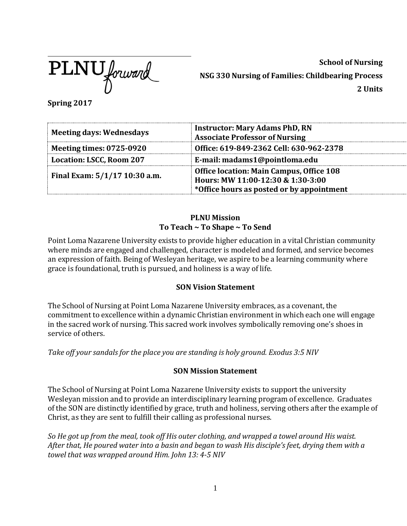

**School of Nursing NSG 330 Nursing of Families: Childbearing Process 2 Units**

**Spring 2017**

| <b>Meeting days: Wednesdays</b> | <b>Instructor: Mary Adams PhD, RN</b><br><b>Associate Professor of Nursing</b>                                             |  |
|---------------------------------|----------------------------------------------------------------------------------------------------------------------------|--|
| <b>Meeting times: 0725-0920</b> | Office: 619-849-2362 Cell: 630-962-2378                                                                                    |  |
| Location: LSCC, Room 207        | E-mail: madams1@pointloma.edu                                                                                              |  |
| Final Exam: 5/1/17 10:30 a.m.   | Office location: Main Campus, Office 108<br>Hours: MW 11:00-12:30 & 1:30-3:00<br>*Office hours as posted or by appointment |  |

### **PLNU Mission To Teach ~ To Shape ~ To Send**

Point Loma Nazarene University exists to provide higher education in a vital Christian community where minds are engaged and challenged, character is modeled and formed, and service becomes an expression of faith. Being of Wesleyan heritage, we aspire to be a learning community where grace is foundational, truth is pursued, and holiness is a way of life.

## **SON Vision Statement**

The School of Nursing at Point Loma Nazarene University embraces, as a covenant, the commitment to excellence within a dynamic Christian environment in which each one will engage in the sacred work of nursing. This sacred work involves symbolically removing one's shoes in service of others.

*Take off your sandals for the place you are standing is holy ground. Exodus 3:5 NIV*

## **SON Mission Statement**

The School of Nursing at Point Loma Nazarene University exists to support the university Wesleyan mission and to provide an interdisciplinary learning program of excellence. Graduates of the SON are distinctly identified by grace, truth and holiness, serving others after the example of Christ, as they are sent to fulfill their calling as professional nurses.

So He got up from the meal, took off His outer clothing, and wrapped a towel around His waist. *After that, He poured water into a basin and began to wash His disciple's feet, drying them with a towel that was wrapped around Him. John 13: 4-5 NIV*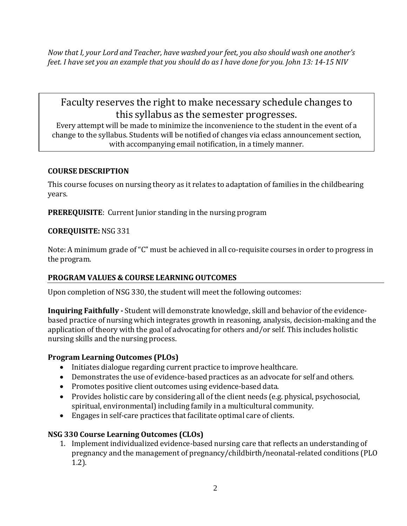*Now that I, your Lord and Teacher, have washed your feet, you also should wash one another's feet. I have set you an example that you should do as I have done for you. John 13: 14-15 NIV*

# Faculty reserves the right to make necessary schedule changes to this syllabus as the semester progresses.

Every attempt will be made to minimize the inconvenience to the student in the event of a change to the syllabus. Students will be notified of changes via eclass announcement section, with accompanying email notification, in a timely manner.

## **COURSE DESCRIPTION**

This course focuses on nursing theory as it relates to adaptation of families in the childbearing years.

**PREREQUISITE**: Current Junior standing in the nursing program

## **COREQUISITE:** NSG 331

Note: A minimum grade of "C" must be achieved in all co-requisite courses in order to progress in the program.

## **PROGRAM VALUES & COURSE LEARNING OUTCOMES**

Upon completion of NSG 330, the student will meet the following outcomes:

**Inquiring Faithfully -** Student will demonstrate knowledge, skill and behavior of the evidencebased practice of nursing which integrates growth in reasoning, analysis, decision-making and the application of theory with the goal of advocating for others and/or self. This includes holistic nursing skills and the nursing process.

### **Program Learning Outcomes (PLOs)**

- Initiates dialogue regarding current practice to improve healthcare.
- Demonstrates the use of evidence-based practices as an advocate for self and others.
- Promotes positive client outcomes using evidence-based data.
- Provides holistic care by considering all of the client needs (e.g. physical, psychosocial, spiritual, environmental) including family in a multicultural community.
- Engages in self-care practices that facilitate optimal care of clients.

## **NSG 330 Course Learning Outcomes (CLOs)**

1. Implement individualized evidence-based nursing care that reflects an understanding of pregnancy and the management of pregnancy/childbirth/neonatal-related conditions (PLO 1.2).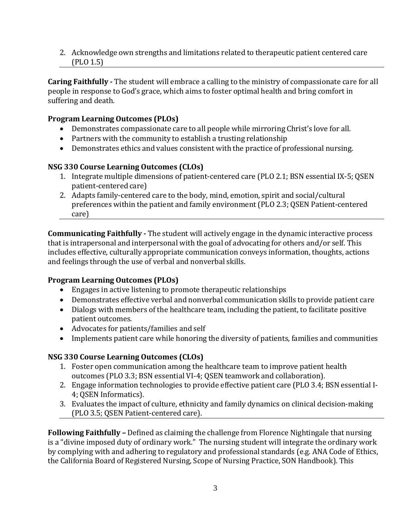2. Acknowledge own strengths and limitations related to therapeutic patient centered care (PLO 1.5)

**Caring Faithfully -** The student will embrace a calling to the ministry of compassionate care for all people in response to God's grace, which aims to foster optimal health and bring comfort in suffering and death.

## **Program Learning Outcomes (PLOs)**

- Demonstrates compassionate care to all people while mirroring Christ's love for all.
- Partners with the community to establish a trusting relationship
- Demonstrates ethics and values consistent with the practice of professional nursing.

## **NSG 330 Course Learning Outcomes (CLOs)**

- 1. Integrate multiple dimensions of patient-centered care (PLO 2.1; BSN essential IX-5; QSEN patient-centered care)
- 2. Adapts family-centered care to the body, mind, emotion, spirit and social/cultural preferences within the patient and family environment (PLO 2.3; QSEN Patient-centered care)

**Communicating Faithfully -** The student will actively engage in the dynamic interactive process that is intrapersonal and interpersonal with the goal of advocating for others and/or self. This includes effective, culturally appropriate communication conveys information, thoughts, actions and feelings through the use of verbal and nonverbal skills.

## **Program Learning Outcomes (PLOs)**

- Engages in active listening to promote therapeutic relationships
- Demonstrates effective verbal and nonverbal communication skills to provide patient care
- Dialogs with members of the healthcare team, including the patient, to facilitate positive patient outcomes.
- Advocates for patients/families and self
- Implements patient care while honoring the diversity of patients, families and communities

## **NSG 330 Course Learning Outcomes (CLOs)**

- 1. Foster open communication among the healthcare team to improve patient health outcomes (PLO 3.3; BSN essential VI-4; QSEN teamwork and collaboration).
- 2. Engage information technologies to provide effective patient care (PLO 3.4; BSN essential I-4; QSEN Informatics).
- 3. Evaluates the impact of culture, ethnicity and family dynamics on clinical decision-making (PLO 3.5; QSEN Patient-centered care).

**Following Faithfully –** Defined as claiming the challenge from Florence Nightingale that nursing is a "divine imposed duty of ordinary work." The nursing student will integrate the ordinary work by complying with and adhering to regulatory and professional standards (e.g. ANA Code of Ethics, the California Board of Registered Nursing, Scope of Nursing Practice, SON Handbook). This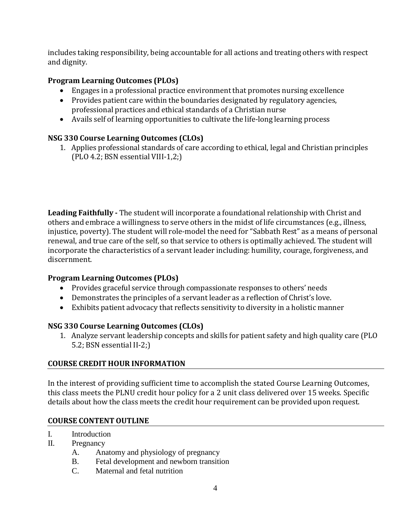includes taking responsibility, being accountable for all actions and treating others with respect and dignity.

## **Program Learning Outcomes (PLOs)**

- Engages in a professional practice environment that promotes nursing excellence
- Provides patient care within the boundaries designated by regulatory agencies, professional practices and ethical standards of a Christian nurse
- Avails self of learning opportunities to cultivate the life-long learning process

## **NSG 330 Course Learning Outcomes (CLOs)**

1. Applies professional standards of care according to ethical, legal and Christian principles (PLO 4.2; BSN essential VIII-1,2;)

**Leading Faithfully -** The student will incorporate a foundational relationship with Christ and others and embrace a willingness to serve others in the midst of life circumstances (e.g., illness, injustice, poverty). The student will role-model the need for "Sabbath Rest" as a means of personal renewal, and true care of the self, so that service to others is optimally achieved. The student will incorporate the characteristics of a servant leader including: humility, courage, forgiveness, and discernment.

## **Program Learning Outcomes (PLOs)**

- Provides graceful service through compassionate responses to others' needs
- Demonstrates the principles of a servant leader as a reflection of Christ's love.
- Exhibits patient advocacy that reflects sensitivity to diversity in a holistic manner

## **NSG 330 Course Learning Outcomes (CLOs)**

1. Analyze servant leadership concepts and skills for patient safety and high quality care (PLO 5.2; BSN essential II-2;)

## **COURSE CREDIT HOUR INFORMATION**

In the interest of providing sufficient time to accomplish the stated Course Learning Outcomes, this class meets the PLNU credit hour policy for a 2 unit class delivered over 15 weeks. Specific details about how the class meets the credit hour requirement can be provided upon request.

## **COURSE CONTENT OUTLINE**

- I. Introduction
- II. Pregnancy
	- A. Anatomy and physiology of pregnancy
	- B. Fetal development and newborn transition
	- C. Maternal and fetal nutrition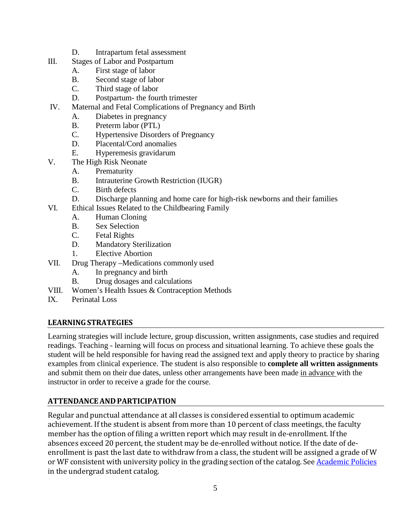- D. Intrapartum fetal assessment
- III. Stages of Labor and Postpartum
	- A. First stage of labor
	- B. Second stage of labor
	- C. Third stage of labor
	- D. Postpartum- the fourth trimester
- IV. Maternal and Fetal Complications of Pregnancy and Birth
	- A. Diabetes in pregnancy
		- B. Preterm labor (PTL)
		- C. Hypertensive Disorders of Pregnancy
		- D. Placental/Cord anomalies
		- E. Hyperemesis gravidarum
- V. The High Risk Neonate
	- A. Prematurity
	- B. Intrauterine Growth Restriction (IUGR)
	- C. Birth defects
	- D. Discharge planning and home care for high-risk newborns and their families
- VI. Ethical Issues Related to the Childbearing Family
	- A. Human Cloning
	- B. Sex Selection
	- C. Fetal Rights
	- D. Mandatory Sterilization
	- 1. Elective Abortion
- VII. Drug Therapy –Medications commonly used
	- A. In pregnancy and birth
	- B. Drug dosages and calculations
- VIII. Women's Health Issues & Contraception Methods
- IX. Perinatal Loss

### **LEARNINGSTRATEGIES**

Learning strategies will include lecture, group discussion, written assignments, case studies and required readings. Teaching - learning will focus on process and situational learning. To achieve these goals the student will be held responsible for having read the assigned text and apply theory to practice by sharing examples from clinical experience. The student is also responsible to **complete all written assignments** and submit them on their due dates, unless other arrangements have been made in advance with the instructor in order to receive a grade for the course.

## **ATTENDANCEAND PARTICIPATION**

Regular and punctual attendance at all classes is considered essential to optimum academic achievement. If the student is absent from more than 10 percent of class meetings, the faculty member has the option of filing a written report which may result in de-enrollment. If the absences exceed 20 percent, the student may be de-enrolled without notice. If the date of deenrollment is past the last date to withdraw from a class, the student will be assigned a grade of W or WF consistent with university policy in the grading section of the catalog. See [Academic](http://www.pointloma.edu/experience/academics/catalogs/undergraduate-catalog/point-loma-education/academic-policies) Policies in the undergrad student catalog.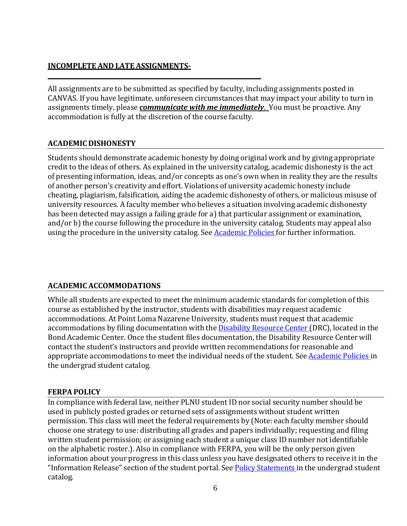## **INCOMPLETE AND LATE ASSIGNMENTS-**

**\_\_\_\_\_\_\_\_\_\_\_\_\_\_\_\_\_\_\_\_\_\_\_\_\_\_\_\_\_\_\_\_\_\_\_\_\_\_\_\_\_\_\_\_\_\_\_\_\_\_\_\_\_\_\_\_\_\_\_\_\_\_\_\_\_\_\_\_\_\_\_\_\_**

All assignments are to be submitted as specified by faculty, including assignments posted in CANVAS. If you have legitimate, unforeseen circumstances that may impact your ability to turn in assignments timely, please *communicate with me immediately*. You must be proactive. Any accommodation is fully at the discretion of the course faculty.

## **ACADEMIC DISHONESTY**

Students should demonstrate academic honesty by doing original work and by giving appropriate credit to the ideas of others. As explained in the university catalog, academic dishonesty is the act of presenting information, ideas, and/or concepts as one's own when in reality they are the results of another person's creativity and effort. Violations of university academic honesty include cheating, plagiarism, falsification, aiding the academic dishonesty of others, or malicious misuse of university resources. A faculty member who believes a situation involving academic dishonesty has been detected may assign a failing grade for a) that particular assignment or examination, and/or b) the course following the procedure in the university catalog. Students may appeal also using the procedure in the university catalog. See [Academic](http://www.pointloma.edu/experience/academics/catalogs/undergraduate-catalog/point-loma-education/academic-policies) Policies for further information.

## **ACADEMIC ACCOMMODATIONS**

While all students are expected to meet the minimum academic standards for completion of this course as established by the instructor, students with disabilities may request academic accommodations. At Point Loma Nazarene University, students must request that academic accommodations by filing documentation with the **[Disability](http://www.pointloma.edu/experience/offices/administrative-offices/academic-advising-office/disability-resource-center) Resource Center** (DRC), located in the Bond Academic Center. Once the student files documentation, the Disability Resource Center will contact the student's instructors and provide written recommendations for reasonable and appropriate accommodations to meet the individual needs of the student. See [Academic](http://www.pointloma.edu/experience/academics/catalogs/undergraduate-catalog/point-loma-education/academic-policies) Policies in the undergrad student catalog.

### **FERPA POLICY**

In compliance with federal law, neither PLNU student ID nor social security number should be used in publicly posted grades or returned sets of assignments without student written permission. This class will meet the federal requirements by (Note: each faculty member should choose one strategy to use: distributing all grades and papers individually; requesting and filing written student permission; or assigning each student a unique class ID number not identifiable on the alphabetic roster.). Also in compliance with FERPA, you will be the only person given information about your progress in this class unless you have designated others to receive it in the "Information Release" section of the student portal. See Policy [Statements](http://www.pointloma.edu/experience/academics/catalogs/undergraduate-catalog/policy-statements) in the undergrad student catalog.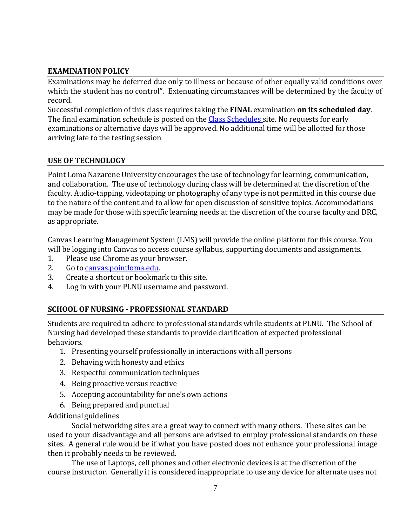## **EXAMINATION POLICY**

Examinations may be deferred due only to illness or because of other equally valid conditions over which the student has no control". Extenuating circumstances will be determined by the faculty of record.

Successful completion of this class requires taking the **FINAL** examination **on its scheduled day**. The final examination schedule is posted on the Class [Schedules](http://www.pointloma.edu/experience/academics/class-schedules) site. No requests for early examinations or alternative days will be approved. No additional time will be allotted for those arriving late to the testing session

## **USE OF TECHNOLOGY**

Point Loma Nazarene University encourages the use of technology for learning, communication, and collaboration. The use of technology during class will be determined at the discretion of the faculty. Audio-tapping, videotaping or photography of any type is not permitted in this course due to the nature of the content and to allow for open discussion of sensitive topics. Accommodations may be made for those with specific learning needs at the discretion of the course faculty and DRC, as appropriate.

Canvas Learning Management System (LMS) will provide the online platform for this course. You will be logging into Canvas to access course syllabus, supporting documents and assignments.<br>1. Please use Chrome as vour browser.

- 1. Please use Chrome as your browser.<br>2. Go to canvas pointloma.edu.
- 2. Go to <u>canvas.pointloma.edu</u>.<br>3. Create a shortcut or bookma
- 3. Create a shortcut or bookmark to this site.<br>4. Log in with your PLNU username and pass
- Log in with your PLNU username and password.

## **SCHOOL OF NURSING - PROFESSIONAL STANDARD**

Students are required to adhere to professional standards while students at PLNU. The School of Nursing had developed these standards to provide clarification of expected professional behaviors.

- 1. Presenting yourself professionally in interactions with all persons
- 2. Behaving with honesty and ethics
- 3. Respectful communication techniques
- 4. Being proactive versus reactive
- 5. Accepting accountability for one's own actions
- 6. Being prepared and punctual

### Additional guidelines

Social networking sites are a great way to connect with many others. These sites can be used to your disadvantage and all persons are advised to employ professional standards on these sites. A general rule would be if what you have posted does not enhance your professional image then it probably needs to be reviewed.

The use of Laptops, cell phones and other electronic devices is at the discretion of the course instructor. Generally it is considered inappropriate to use any device for alternate uses not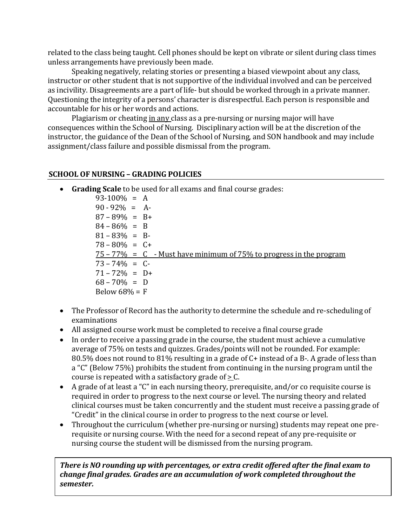related to the class being taught. Cell phones should be kept on vibrate or silent during class times unless arrangements have previously been made.

Speaking negatively, relating stories or presenting a biased viewpoint about any class, instructor or other student that is not supportive of the individual involved and can be perceived as incivility. Disagreements are a part of life- but should be worked through in a private manner. Questioning the integrity of a persons' character is disrespectful. Each person is responsible and accountable for his or her words and actions.

Plagiarism or cheating in any class as a pre-nursing or nursing major will have consequences within the School of Nursing. Disciplinary action will be at the discretion of the instructor, the guidance of the Dean of the School of Nursing, and SON handbook and may include assignment/class failure and possible dismissal from the program.

### **SCHOOL OF NURSING – GRADING POLICIES**

• **Grading Scale** to be used for all exams and final course grades:

 $93-100\% = A$  $90 - 92\% = A$  $87 - 89\% = B +$  $84 - 86\% = B$  $81 - 83\% = B$  $78 - 80\% = C +$  $75 - 77\% = C$  - Must have minimum of  $75\%$  to progress in the program  $73 - 74\% = C$  $71 - 72\% = D+$  $68 - 70\% = D$ Below  $68\% = F$ 

- The Professor of Record has the authority to determine the schedule and re-scheduling of examinations
- All assigned course work must be completed to receive a final course grade
- In order to receive a passing grade in the course, the student must achieve a cumulative average of 75% on tests and quizzes. Grades/points will not be rounded. For example: 80.5% does not round to 81% resulting in a grade of C+ instead of a B-. A grade of less than a "C" (Below 75%) prohibits the student from continuing in the nursing program until the course is repeated with a satisfactory grade of  $\geq$  C.
- A grade of at least a "C" in each nursing theory, prerequisite, and/or co requisite course is required in order to progress to the next course or level. The nursing theory and related clinical courses must be taken concurrently and the student must receive a passing grade of "Credit" in the clinical course in order to progress to the next course or level.
- Throughout the curriculum (whether pre-nursing or nursing) students may repeat one prerequisite or nursing course. With the need for a second repeat of any pre-requisite or nursing course the student will be dismissed from the nursing program.

*There is NO rounding up with percentages, or extra credit offered after the final exam to change final grades. Grades are an accumulation of work completed throughout the semester.*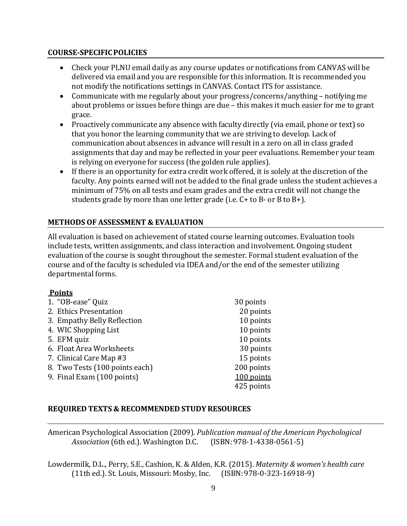### **COURSE-SPECIFICPOLICIES**

- Check your PLNU email daily as any course updates or notifications from CANVAS will be delivered via email and you are responsible for this information. It is recommended you not modify the notifications settings in CANVAS. Contact ITS for assistance.
- Communicate with me regularly about your progress/concerns/anything notifying me about problems or issues before things are due – this makes it much easier for me to grant grace.
- Proactively communicate any absence with faculty directly (via email, phone or text) so that you honor the learning community that we are striving to develop. Lack of communication about absences in advance will result in a zero on all in class graded assignments that day and may be reflected in your peer evaluations. Remember your team is relying on everyone for success (the golden rule applies).
- If there is an opportunity for extra credit work offered, it is solely at the discretion of the faculty. Any points earned will not be added to the final grade unless the student achieves a minimum of 75% on all tests and exam grades and the extra credit will not change the students grade by more than one letter grade (i.e. C+ to B- or B to B+).

## **METHODS OF ASSESSMENT & EVALUATION**

All evaluation is based on achievement of stated course learning outcomes. Evaluation tools include tests, written assignments, and class interaction and involvement. Ongoing student evaluation of the course is sought throughout the semester. Formal student evaluation of the course and of the faculty is scheduled via IDEA and/or the end of the semester utilizing departmental forms.

### **Points**

| 1. "OB-ease" Quiz              | 30 points  |
|--------------------------------|------------|
| 2. Ethics Presentation         | 20 points  |
| 3. Empathy Belly Reflection    | 10 points  |
| 4. WIC Shopping List           | 10 points  |
| 5. EFM quiz                    | 10 points  |
| 6. Float Area Worksheets       | 30 points  |
| 7. Clinical Care Map #3        | 15 points  |
| 8. Two Tests (100 points each) | 200 points |
| 9. Final Exam (100 points)     | 100 points |
|                                | 425 points |
|                                |            |

## **REQUIRED TEXTS & RECOMMENDED STUDY RESOURCES**

American Psychological Association (2009). *Publication manual of the American Psychological Association* (6th ed.). Washington D.C.

Lowdermilk, D.L., Perry, S.E., Cashion, K. & Alden, K.R. (2015). *Maternity & women's health care* (11th ed.). St. Louis, Missouri: Mosby, Inc. (ISBN:978-0-323-16918-9)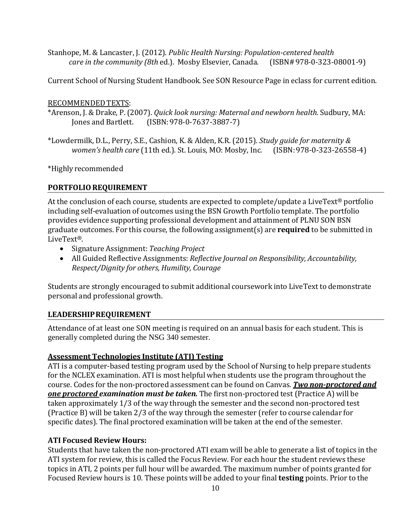Stanhope, M. & Lancaster, J. (2012). *Public Health Nursing: Population-centered health care in the community (8th ed.). Mosby Elsevier, Canada.* 

Current School of Nursing Student Handbook. See SON Resource Page in eclass for current edition.

### RECOMMENDEDTEXTS:

\*Arenson, J. & Drake, P.(2007). *Quick look nursing: Maternal and newborn health.* Sudbury, MA:  $(ISBN: 978-0-7637-3887-7)$ 

\*Lowdermilk, D.L., Perry, S.E., Cashion, K. & Alden, K.R. (2015). *Study guide for maternity & women's health care* (11th ed.). St. Louis, MO: Mosby, Inc. (ISBN:978-0-323-26558-4)

\*Highly recommended

## **PORTFOLIOREQUIREMENT**

At the conclusion of each course, students are expected to complete/update a LiveText<sup>®</sup> portfolio including self-evaluation of outcomes using the BSN Growth Portfolio template. The portfolio provides evidence supporting professional development and attainment of PLNU SON BSN graduate outcomes. For this course, the following assignment(s) are **required** to be submitted in LiveText®.

- Signature Assignment: *Teaching Project*
- All Guided Reflective Assignments: *Reflective Journal on Responsibility, Accountability, Respect/Dignity for others, Humility, Courage*

Students are strongly encouraged to submit additional coursework into LiveText to demonstrate personal and professional growth.

## **LEADERSHIPREQUIREMENT**

Attendance of at least one SON meeting is required on an annual basis for each student. This is generally completed during the NSG 340 semester.

## **Assessment Technologies Institute (ATI) Testing**

ATI is a computer-based testing program used by the School of Nursing to help prepare students for the NCLEX examination. ATI is most helpful when students use the program throughout the course. Codes for the non-proctored assessment can be found on Canvas. *Two non-proctored and one proctored examination must be taken.* The first non-proctored test (Practice A) will be taken approximately 1/3 of the way through the semester and the second non-proctored test (Practice B) will be taken 2/3 of the way through the semester (refer to course calendar for specific dates). The final proctored examination will be taken at the end of the semester.

## **ATI Focused Review Hours:**

Students that have taken the non-proctored ATI exam will be able to generate a list of topics in the ATI system for review, this is called the Focus Review. For each hour the student reviews these topics in ATI, 2 points per full hour will be awarded. The maximum number of points granted for Focused Review hours is 10. These points will be added to your final **testing** points. Prior to the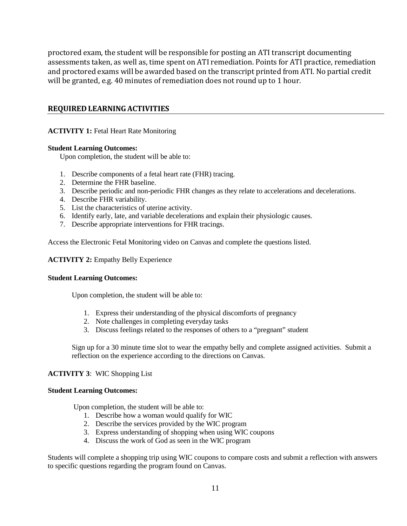proctored exam, the student will be responsible for posting an ATI transcript documenting assessments taken, as well as, time spent on ATI remediation. Points for ATI practice, remediation and proctored exams will be awarded based on the transcript printed from ATI. No partial credit will be granted, e.g. 40 minutes of remediation does not round up to 1 hour.

#### **REQUIRED LEARNING ACTIVITIES**

#### **ACTIVITY 1:** Fetal Heart Rate Monitoring

#### **Student Learning Outcomes:**

Upon completion, the student will be able to:

- 1. Describe components of a fetal heart rate (FHR) tracing.
- 2. Determine the FHR baseline.
- 3. Describe periodic and non-periodic FHR changes as they relate to accelerations and decelerations.
- 4. Describe FHR variability.
- 5. List the characteristics of uterine activity.
- 6. Identify early, late, and variable decelerations and explain their physiologic causes.
- 7. Describe appropriate interventions for FHR tracings.

Access the Electronic Fetal Monitoring video on Canvas and complete the questions listed.

#### **ACTIVITY 2:** Empathy Belly Experience

#### **Student Learning Outcomes:**

Upon completion, the student will be able to:

- 1. Express their understanding of the physical discomforts of pregnancy
- 2. Note challenges in completing everyday tasks
- 3. Discuss feelings related to the responses of others to a "pregnant" student

Sign up for a 30 minute time slot to wear the empathy belly and complete assigned activities. Submit a reflection on the experience according to the directions on Canvas.

#### **ACTIVITY 3**: WIC Shopping List

#### **Student Learning Outcomes:**

Upon completion, the student will be able to:

- 1. Describe how a woman would qualify for WIC
- 2. Describe the services provided by the WIC program
- 3. Express understanding of shopping when using WIC coupons
- 4. Discuss the work of God as seen in the WIC program

Students will complete a shopping trip using WIC coupons to compare costs and submit a reflection with answers to specific questions regarding the program found on Canvas.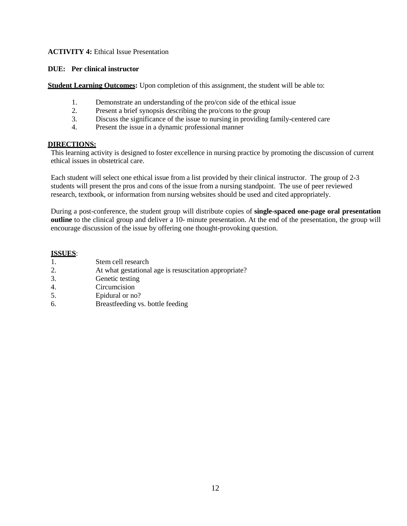#### **ACTIVITY 4:** Ethical Issue Presentation

#### **DUE: Per clinical instructor**

**Student Learning Outcomes:** Upon completion of this assignment, the student will be able to:

- 1. Demonstrate an understanding of the pro/con side of the ethical issue
- 2. Present a brief synopsis describing the pro/cons to the group
- 3. Discuss the significance of the issue to nursing in providing family-centered care
- 4. Present the issue in a dynamic professional manner

#### **DIRECTIONS:**

This learning activity is designed to foster excellence in nursing practice by promoting the discussion of current ethical issues in obstetrical care.

Each student will select one ethical issue from a list provided by their clinical instructor. The group of 2-3 students will present the pros and cons of the issue from a nursing standpoint. The use of peer reviewed research, textbook, or information from nursing websites should be used and cited appropriately.

During a post-conference, the student group will distribute copies of **single-spaced one-page oral presentation outline** to the clinical group and deliver a 10- minute presentation. At the end of the presentation, the group will encourage discussion of the issue by offering one thought-provoking question.

#### **ISSUES**:

- 1. Stem cell research
- 2. At what gestational age is resuscitation appropriate?
- 3. Genetic testing
- 4. Circumcision
- 5. Epidural or no?
- 6. Breastfeeding vs. bottle feeding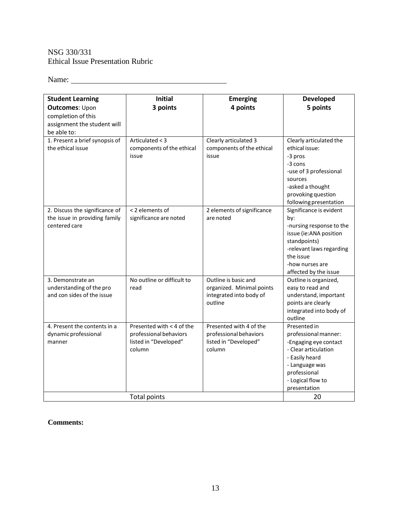### NSG 330/331 Ethical Issue Presentation Rubric

Name: Name:

| <b>Student Learning</b>                     | <b>Initial</b>             | <b>Emerging</b>                    | <b>Developed</b>                                  |  |  |  |
|---------------------------------------------|----------------------------|------------------------------------|---------------------------------------------------|--|--|--|
| <b>Outcomes: Upon</b><br>completion of this | 3 points                   | 4 points                           | 5 points                                          |  |  |  |
| assignment the student will                 |                            |                                    |                                                   |  |  |  |
| be able to:                                 |                            |                                    |                                                   |  |  |  |
| 1. Present a brief synopsis of              | Articulated < 3            | Clearly articulated 3              | Clearly articulated the                           |  |  |  |
| the ethical issue                           | components of the ethical  | components of the ethical<br>issue | ethical issue:<br>-3 pros                         |  |  |  |
|                                             | issue                      |                                    | -3 cons                                           |  |  |  |
|                                             |                            |                                    | -use of 3 professional                            |  |  |  |
|                                             |                            |                                    | sources                                           |  |  |  |
|                                             |                            |                                    | -asked a thought                                  |  |  |  |
|                                             |                            |                                    | provoking question                                |  |  |  |
| 2. Discuss the significance of              | < 2 elements of            | 2 elements of significance         | following presentation<br>Significance is evident |  |  |  |
| the issue in providing family               | significance are noted     | are noted                          | by:                                               |  |  |  |
| centered care                               |                            |                                    | -nursing response to the                          |  |  |  |
|                                             |                            |                                    | issue (ie:ANA position                            |  |  |  |
|                                             |                            |                                    | standpoints)                                      |  |  |  |
|                                             |                            |                                    | -relevant laws regarding                          |  |  |  |
|                                             |                            |                                    | the issue<br>-how nurses are                      |  |  |  |
|                                             |                            |                                    | affected by the issue                             |  |  |  |
| 3. Demonstrate an                           | No outline or difficult to | Outline is basic and               | Outline is organized,                             |  |  |  |
| understanding of the pro                    | read                       | organized. Minimal points          | easy to read and                                  |  |  |  |
| and con sides of the issue                  |                            | integrated into body of            | understand, important                             |  |  |  |
|                                             |                            | outline                            | points are clearly                                |  |  |  |
|                                             |                            |                                    | integrated into body of<br>outline                |  |  |  |
| 4. Present the contents in a                | Presented with < 4 of the  | Presented with 4 of the            | Presented in                                      |  |  |  |
| dynamic professional                        | professional behaviors     | professional behaviors             | professional manner:                              |  |  |  |
| manner                                      | listed in "Developed"      | listed in "Developed"              | -Engaging eye contact                             |  |  |  |
|                                             | column                     | column                             | - Clear articulation                              |  |  |  |
|                                             |                            |                                    | - Easily heard                                    |  |  |  |
|                                             |                            |                                    | - Language was<br>professional                    |  |  |  |
|                                             |                            |                                    | - Logical flow to                                 |  |  |  |
|                                             |                            |                                    | presentation                                      |  |  |  |
| <b>Total points</b><br>20                   |                            |                                    |                                                   |  |  |  |

### **Comments:**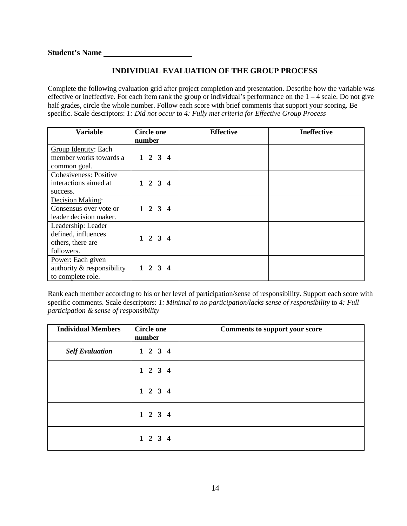### **INDIVIDUAL EVALUATION OF THE GROUP PROCESS**

Complete the following evaluation grid after project completion and presentation. Describe how the variable was effective or ineffective. For each item rank the group or individual's performance on the  $1 - 4$  scale. Do not give half grades, circle the whole number. Follow each score with brief comments that support your scoring. Be specific. Scale descriptors: *1: Did not occur* to *4: Fully met criteria for Effective Group Process*

| <b>Variable</b>            | <b>Circle one</b> |                 | <b>Effective</b> | <b>Ineffective</b> |  |
|----------------------------|-------------------|-----------------|------------------|--------------------|--|
|                            | number            |                 |                  |                    |  |
| Group Identity: Each       |                   |                 |                  |                    |  |
| member works towards a     |                   | $1 \t2 \t3 \t4$ |                  |                    |  |
| common goal.               |                   |                 |                  |                    |  |
| Cohesiveness: Positive     |                   |                 |                  |                    |  |
| interactions aimed at      |                   | $1 \t2 \t3 \t4$ |                  |                    |  |
| success.                   |                   |                 |                  |                    |  |
| Decision Making:           |                   |                 |                  |                    |  |
| Consensus over vote or     |                   | $1 \t2 \t3 \t4$ |                  |                    |  |
| leader decision maker.     |                   |                 |                  |                    |  |
| Leadership: Leader         |                   |                 |                  |                    |  |
| defined, influences        |                   | $1 \t2 \t3 \t4$ |                  |                    |  |
| others, there are          |                   |                 |                  |                    |  |
| followers.                 |                   |                 |                  |                    |  |
| Power: Each given          |                   |                 |                  |                    |  |
| authority & responsibility |                   | $1 \t2 \t3 \t4$ |                  |                    |  |
| to complete role.          |                   |                 |                  |                    |  |

Rank each member according to his or her level of participation/sense of responsibility. Support each score with specific comments. Scale descriptors: *1: Minimal to no participation/lacks sense of responsibility* to *4: Full participation & sense of responsibility*

| <b>Individual Members</b> | <b>Circle one</b><br>number | <b>Comments to support your score</b> |  |
|---------------------------|-----------------------------|---------------------------------------|--|
| <b>Self Evaluation</b>    | $1 \t2 \t3 \t4$             |                                       |  |
|                           | $1 \t2 \t3 \t4$             |                                       |  |
|                           | $1 \t2 \t3 \t4$             |                                       |  |
|                           | $1 \t2 \t3 \t4$             |                                       |  |
|                           | $1 \t2 \t3 \t4$             |                                       |  |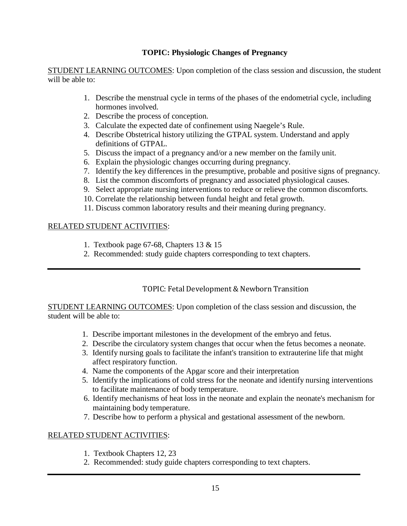### **TOPIC: Physiologic Changes of Pregnancy**

STUDENT LEARNING OUTCOMES: Upon completion of the class session and discussion, the student will be able to:

- 1. Describe the menstrual cycle in terms of the phases of the endometrial cycle, including hormones involved.
- 2. Describe the process of conception.
- 3. Calculate the expected date of confinement using Naegele's Rule.
- 4. Describe Obstetrical history utilizing the GTPAL system. Understand and apply definitions of GTPAL.
- 5. Discuss the impact of a pregnancy and/or a new member on the family unit.
- 6. Explain the physiologic changes occurring during pregnancy.
- 7. Identify the key differences in the presumptive, probable and positive signs of pregnancy.
- 8. List the common discomforts of pregnancy and associated physiological causes.
- 9. Select appropriate nursing interventions to reduce or relieve the common discomforts.
- 10. Correlate the relationship between fundal height and fetal growth.
- 11. Discuss common laboratory results and their meaning during pregnancy.

## RELATED STUDENT ACTIVITIES:

- 1. Textbook page 67-68, Chapters 13 & 15
- 2. Recommended: study guide chapters corresponding to text chapters.

## TOPIC: Fetal Development & Newborn Transition

STUDENT LEARNING OUTCOMES: Upon completion of the class session and discussion, the student will be able to:

- 1. Describe important milestones in the development of the embryo and fetus.
- 2. Describe the circulatory system changes that occur when the fetus becomes a neonate.
- 3. Identify nursing goals to facilitate the infant's transition to extrauterine life that might affect respiratory function.
- 4. Name the components of the Apgar score and their interpretation
- 5. Identify the implications of cold stress for the neonate and identify nursing interventions to facilitate maintenance of body temperature.
- 6. Identify mechanisms of heat loss in the neonate and explain the neonate's mechanism for maintaining body temperature.
- 7. Describe how to perform a physical and gestational assessment of the newborn.

- 1. Textbook Chapters 12, 23
- 2. Recommended: study guide chapters corresponding to text chapters.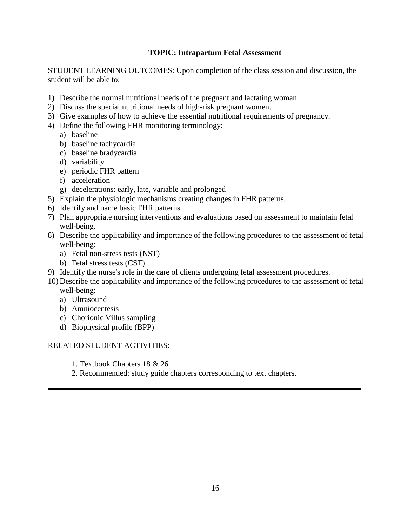### **TOPIC: Intrapartum Fetal Assessment**

STUDENT LEARNING OUTCOMES: Upon completion of the class session and discussion, the student will be able to:

- 1) Describe the normal nutritional needs of the pregnant and lactating woman.
- 2) Discuss the special nutritional needs of high-risk pregnant women.
- 3) Give examples of how to achieve the essential nutritional requirements of pregnancy.
- 4) Define the following FHR monitoring terminology:
	- a) baseline
	- b) baseline tachycardia
	- c) baseline bradycardia
	- d) variability
	- e) periodic FHR pattern
	- f) acceleration
	- g) decelerations: early, late, variable and prolonged
- 5) Explain the physiologic mechanisms creating changes in FHR patterns.
- 6) Identify and name basic FHR patterns.
- 7) Plan appropriate nursing interventions and evaluations based on assessment to maintain fetal well-being.
- 8) Describe the applicability and importance of the following procedures to the assessment of fetal well-being:
	- a) Fetal non-stress tests (NST)
	- b) Fetal stress tests (CST)
- 9) Identify the nurse's role in the care of clients undergoing fetal assessment procedures.
- 10) Describe the applicability and importance of the following procedures to the assessment of fetal well-being:
	- a) Ultrasound
	- b) Amniocentesis
	- c) Chorionic Villus sampling
	- d) Biophysical profile (BPP)

- 1. Textbook Chapters 18 & 26
- 2. Recommended: study guide chapters corresponding to text chapters.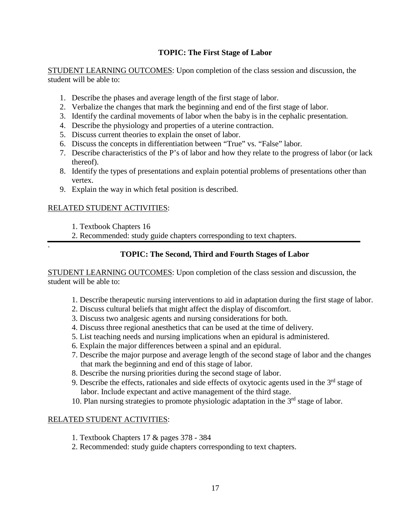### **TOPIC: The First Stage of Labor**

STUDENT LEARNING OUTCOMES: Upon completion of the class session and discussion, the student will be able to:

- 1. Describe the phases and average length of the first stage of labor.
- 2. Verbalize the changes that mark the beginning and end of the first stage of labor.
- 3. Identify the cardinal movements of labor when the baby is in the cephalic presentation.
- 4. Describe the physiology and properties of a uterine contraction.
- 5. Discuss current theories to explain the onset of labor.
- 6. Discuss the concepts in differentiation between "True" vs. "False" labor.
- 7. Describe characteristics of the P's of labor and how they relate to the progress of labor (or lack thereof).
- 8. Identify the types of presentations and explain potential problems of presentations other than vertex.
- 9. Explain the way in which fetal position is described.

### RELATED STUDENT ACTIVITIES:

- 1. Textbook Chapters 16
- 2. Recommended: study guide chapters corresponding to text chapters.
- .

## **TOPIC: The Second, Third and Fourth Stages of Labor**

STUDENT LEARNING OUTCOMES: Upon completion of the class session and discussion, the student will be able to:

- 1. Describe therapeutic nursing interventions to aid in adaptation during the first stage of labor.
- 2. Discuss cultural beliefs that might affect the display of discomfort.
- 3. Discuss two analgesic agents and nursing considerations for both.
- 4. Discuss three regional anesthetics that can be used at the time of delivery.
- 5. List teaching needs and nursing implications when an epidural is administered.
- 6. Explain the major differences between a spinal and an epidural.
- 7. Describe the major purpose and average length of the second stage of labor and the changes that mark the beginning and end of this stage of labor.
- 8. Describe the nursing priorities during the second stage of labor.
- 9. Describe the effects, rationales and side effects of oxytocic agents used in the  $3<sup>rd</sup>$  stage of labor. Include expectant and active management of the third stage.
- 10. Plan nursing strategies to promote physiologic adaptation in the  $3<sup>rd</sup>$  stage of labor.

- 1. Textbook Chapters 17 & pages 378 384
- 2. Recommended: study guide chapters corresponding to text chapters.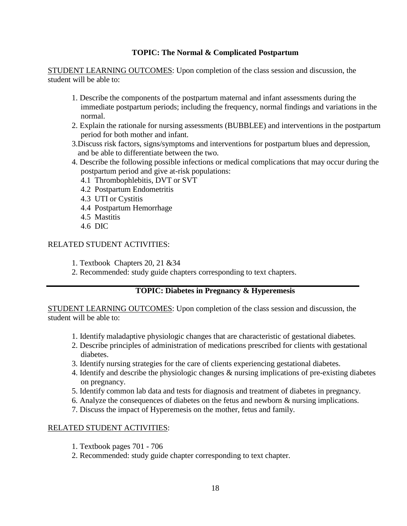### **TOPIC: The Normal & Complicated Postpartum**

STUDENT LEARNING OUTCOMES: Upon completion of the class session and discussion, the student will be able to:

- 1. Describe the components of the postpartum maternal and infant assessments during the immediate postpartum periods; including the frequency, normal findings and variations in the normal.
- 2. Explain the rationale for nursing assessments (BUBBLEE) and interventions in the postpartum period for both mother and infant.
- 3.Discuss risk factors, signs/symptoms and interventions for postpartum blues and depression, and be able to differentiate between the two.
- 4. Describe the following possible infections or medical complications that may occur during the postpartum period and give at-risk populations:
	- 4.1 Thrombophlebitis, DVT or SVT
	- 4.2 Postpartum Endometritis
	- 4.3 UTI or Cystitis
	- 4.4 Postpartum Hemorrhage
	- 4.5 Mastitis
	- 4.6 DIC

### RELATED STUDENT ACTIVITIES:

- 1. Textbook Chapters 20, 21 &34
- 2. Recommended: study guide chapters corresponding to text chapters.

### **TOPIC: Diabetes in Pregnancy & Hyperemesis**

STUDENT LEARNING OUTCOMES: Upon completion of the class session and discussion, the student will be able to:

- 1. Identify maladaptive physiologic changes that are characteristic of gestational diabetes.
- 2. Describe principles of administration of medications prescribed for clients with gestational diabetes.
- 3. Identify nursing strategies for the care of clients experiencing gestational diabetes.
- 4. Identify and describe the physiologic changes & nursing implications of pre-existing diabetes on pregnancy.
- 5. Identify common lab data and tests for diagnosis and treatment of diabetes in pregnancy.
- 6. Analyze the consequences of diabetes on the fetus and newborn & nursing implications.
- 7. Discuss the impact of Hyperemesis on the mother, fetus and family.

- 1. Textbook pages 701 706
- 2. Recommended: study guide chapter corresponding to text chapter.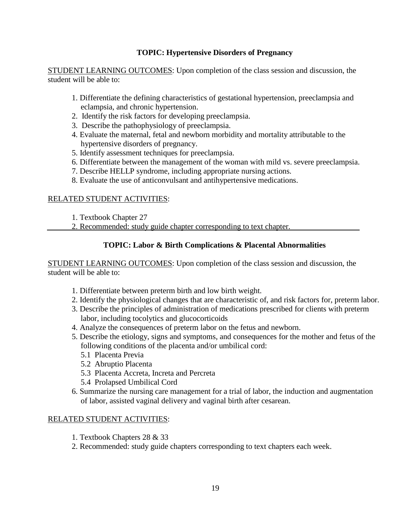### **TOPIC: Hypertensive Disorders of Pregnancy**

STUDENT LEARNING OUTCOMES: Upon completion of the class session and discussion, the student will be able to:

- 1. Differentiate the defining characteristics of gestational hypertension, preeclampsia and eclampsia, and chronic hypertension.
- 2. Identify the risk factors for developing preeclampsia.
- 3. Describe the pathophysiology of preeclampsia.
- 4. Evaluate the maternal, fetal and newborn morbidity and mortality attributable to the hypertensive disorders of pregnancy.
- 5. Identify assessment techniques for preeclampsia.
- 6. Differentiate between the management of the woman with mild vs. severe preeclampsia.
- 7. Describe HELLP syndrome, including appropriate nursing actions.
- 8. Evaluate the use of anticonvulsant and antihypertensive medications.

### RELATED STUDENT ACTIVITIES:

1. Textbook Chapter 27

2. Recommended: study guide chapter corresponding to text chapter.

### **TOPIC: Labor & Birth Complications & Placental Abnormalities**

STUDENT LEARNING OUTCOMES: Upon completion of the class session and discussion, the student will be able to:

- 1. Differentiate between preterm birth and low birth weight.
- 2. Identify the physiological changes that are characteristic of, and risk factors for, preterm labor.
- 3. Describe the principles of administration of medications prescribed for clients with preterm labor, including tocolytics and glucocorticoids
- 4. Analyze the consequences of preterm labor on the fetus and newborn.
- 5. Describe the etiology, signs and symptoms, and consequences for the mother and fetus of the following conditions of the placenta and/or umbilical cord:
	- 5.1 Placenta Previa
	- 5.2 Abruptio Placenta
	- 5.3 Placenta Accreta, Increta and Percreta
	- 5.4 Prolapsed Umbilical Cord
- 6. Summarize the nursing care management for a trial of labor, the induction and augmentation of labor, assisted vaginal delivery and vaginal birth after cesarean.

- 1. Textbook Chapters 28 & 33
- 2. Recommended: study guide chapters corresponding to text chapters each week.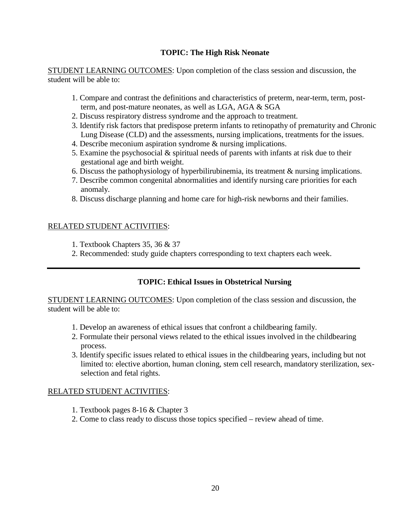### **TOPIC: The High Risk Neonate**

STUDENT LEARNING OUTCOMES: Upon completion of the class session and discussion, the student will be able to:

- 1. Compare and contrast the definitions and characteristics of preterm, near-term, term, postterm, and post-mature neonates, as well as LGA, AGA & SGA
- 2. Discuss respiratory distress syndrome and the approach to treatment.
- 3. Identify risk factors that predispose preterm infants to retinopathy of prematurity and Chronic Lung Disease (CLD) and the assessments, nursing implications, treatments for the issues.
- 4. Describe meconium aspiration syndrome & nursing implications.
- 5. Examine the psychosocial & spiritual needs of parents with infants at risk due to their gestational age and birth weight.
- 6. Discuss the pathophysiology of hyperbilirubinemia, its treatment & nursing implications.
- 7. Describe common congenital abnormalities and identify nursing care priorities for each anomaly.
- 8. Discuss discharge planning and home care for high-risk newborns and their families.

### RELATED STUDENT ACTIVITIES:

- 1. Textbook Chapters 35, 36 & 37
- 2. Recommended: study guide chapters corresponding to text chapters each week.

### **TOPIC: Ethical Issues in Obstetrical Nursing**

STUDENT LEARNING OUTCOMES: Upon completion of the class session and discussion, the student will be able to:

- 1. Develop an awareness of ethical issues that confront a childbearing family.
- 2. Formulate their personal views related to the ethical issues involved in the childbearing process.
- 3. Identify specific issues related to ethical issues in the childbearing years, including but not limited to: elective abortion, human cloning, stem cell research, mandatory sterilization, sexselection and fetal rights.

- 1. Textbook pages 8-16 & Chapter 3
- 2. Come to class ready to discuss those topics specified review ahead of time.